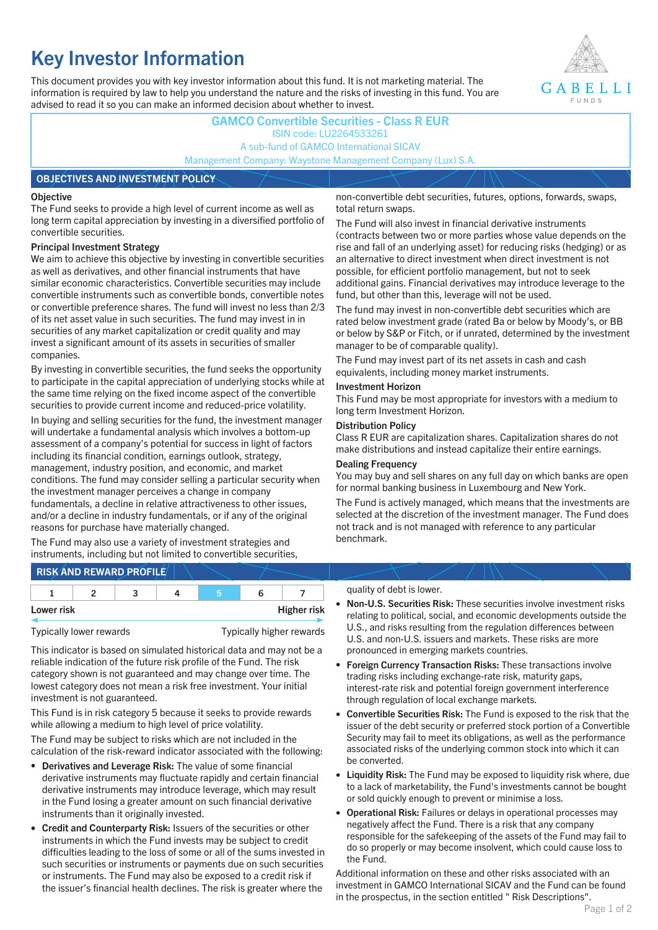# **Key Investor Information**

This document provides you with key investor information about this fund. It is not marketing material. The information is required by law to help you understand the nature and the risks of investing in this fund. You are advised to read it so you can make an informed decision about whether to invest.



### **GAMCO Convertible Securities - Class R EUR** ISIN code: LU2264533261 A sub-fund of GAMCO International SICAV Management Company: Waystone Management Company (Lux) S.A.

#### **OBJECTIVES AND INVESTMENT POLICY**

#### **Objective**

The Fund seeks to provide a high level of current income as well as long term capital appreciation by investing in a diversified portfolio of convertible securities.

#### **Principal Investment Strategy**

We aim to achieve this objective by investing in convertible securities as well as derivatives, and other financial instruments that have similar economic characteristics. Convertible securities may include convertible instruments such as convertible bonds, convertible notes or convertible preference shares. The fund will invest no less than 2/3 of its net asset value in such securities. The fund may invest in in securities of any market capitalization or credit quality and may invest a significant amount of its assets in securities of smaller companies.

By investing in convertible securities, the fund seeks the opportunity to participate in the capital appreciation of underlying stocks while at the same time relying on the fixed income aspect of the convertible securities to provide current income and reduced-price volatility.

In buying and selling securities for the fund, the investment manager will undertake a fundamental analysis which involves a bottom-up assessment of a company's potential for success in light of factors including its financial condition, earnings outlook, strategy, management, industry position, and economic, and market conditions. The fund may consider selling a particular security when the investment manager perceives a change in company fundamentals, a decline in relative attractiveness to other issues, and/or a decline in industry fundamentals, or if any of the original reasons for purchase have materially changed.

The Fund may also use a variety of investment strategies and instruments, including but not limited to convertible securities, non-convertible debt securities, futures, options, forwards, swaps, total return swaps.

The Fund will also invest in financial derivative instruments (contracts between two or more parties whose value depends on the rise and fall of an underlying asset) for reducing risks (hedging) or as an alternative to direct investment when direct investment is not possible, for efficient portfolio management, but not to seek additional gains. Financial derivatives may introduce leverage to the fund, but other than this, leverage will not be used.

The fund may invest in non-convertible debt securities which are rated below investment grade (rated Ba or below by Moody's, or BB or below by S&P or Fitch, or if unrated, determined by the investment manager to be of comparable quality).

The Fund may invest part of its net assets in cash and cash equivalents, including money market instruments.

#### **Investment Horizon**

This Fund may be most appropriate for investors with a medium to long term Investment Horizon.

#### **Distribution Policy**

Class R EUR are capitalization shares. Capitalization shares do not make distributions and instead capitalize their entire earnings.

#### **Dealing Frequency**

You may buy and sell shares on any full day on which banks are open for normal banking business in Luxembourg and New York.

The Fund is actively managed, which means that the investments are selected at the discretion of the investment manager. The Fund does not track and is not managed with reference to any particular benchmark.

## **RISK AND REWARD PROFILE**

|            | - |  |                    |
|------------|---|--|--------------------|
| Lower risk |   |  | <b>Higher risk</b> |

Typically lower rewards Typically higher rewards

This indicator is based on simulated historical data and may not be a reliable indication of the future risk profile of the Fund. The risk category shown is not guaranteed and may change over time. The lowest category does not mean a risk free investment. Your initial investment is not guaranteed.

This Fund is in risk category 5 because it seeks to provide rewards while allowing a medium to high level of price volatility.

The Fund may be subject to risks which are not included in the calculation of the risk-reward indicator associated with the following:

- **Derivatives and Leverage Risk:** The value of some financial derivative instruments may fluctuate rapidly and certain financial derivative instruments may introduce leverage, which may result in the Fund losing a greater amount on such financial derivative instruments than it originally invested.
- **Credit and Counterparty Risk:** Issuers of the securities or other instruments in which the Fund invests may be subject to credit difficulties leading to the loss of some or all of the sums invested in such securities or instruments or payments due on such securities or instruments. The Fund may also be exposed to a credit risk if the issuer's financial health declines. The risk is greater where the

#### quality of debt is lower.

- **Non-U.S. Securities Risk:** These securities involve investment risks relating to political, social, and economic developments outside the U.S., and risks resulting from the regulation differences between U.S. and non-U.S. issuers and markets. These risks are more pronounced in emerging markets countries.
- **Foreign Currency Transaction Risks:** These transactions involve trading risks including exchange-rate risk, maturity gaps, interest-rate risk and potential foreign government interference through regulation of local exchange markets.
- **Convertible Securities Risk:** The Fund is exposed to the risk that the issuer of the debt security or preferred stock portion of a Convertible Security may fail to meet its obligations, as well as the performance associated risks of the underlying common stock into which it can be converted.
- **Liquidity Risk:** The Fund may be exposed to liquidity risk where, due to a lack of marketability, the Fund's investments cannot be bought or sold quickly enough to prevent or minimise a loss.
- **Operational Risk:** Failures or delays in operational processes may negatively affect the Fund. There is a risk that any company responsible for the safekeeping of the assets of the Fund may fail to do so properly or may become insolvent, which could cause loss to the Fund.

Additional information on these and other risks associated with an investment in GAMCO International SICAV and the Fund can be found in the prospectus, in the section entitled " Risk Descriptions".